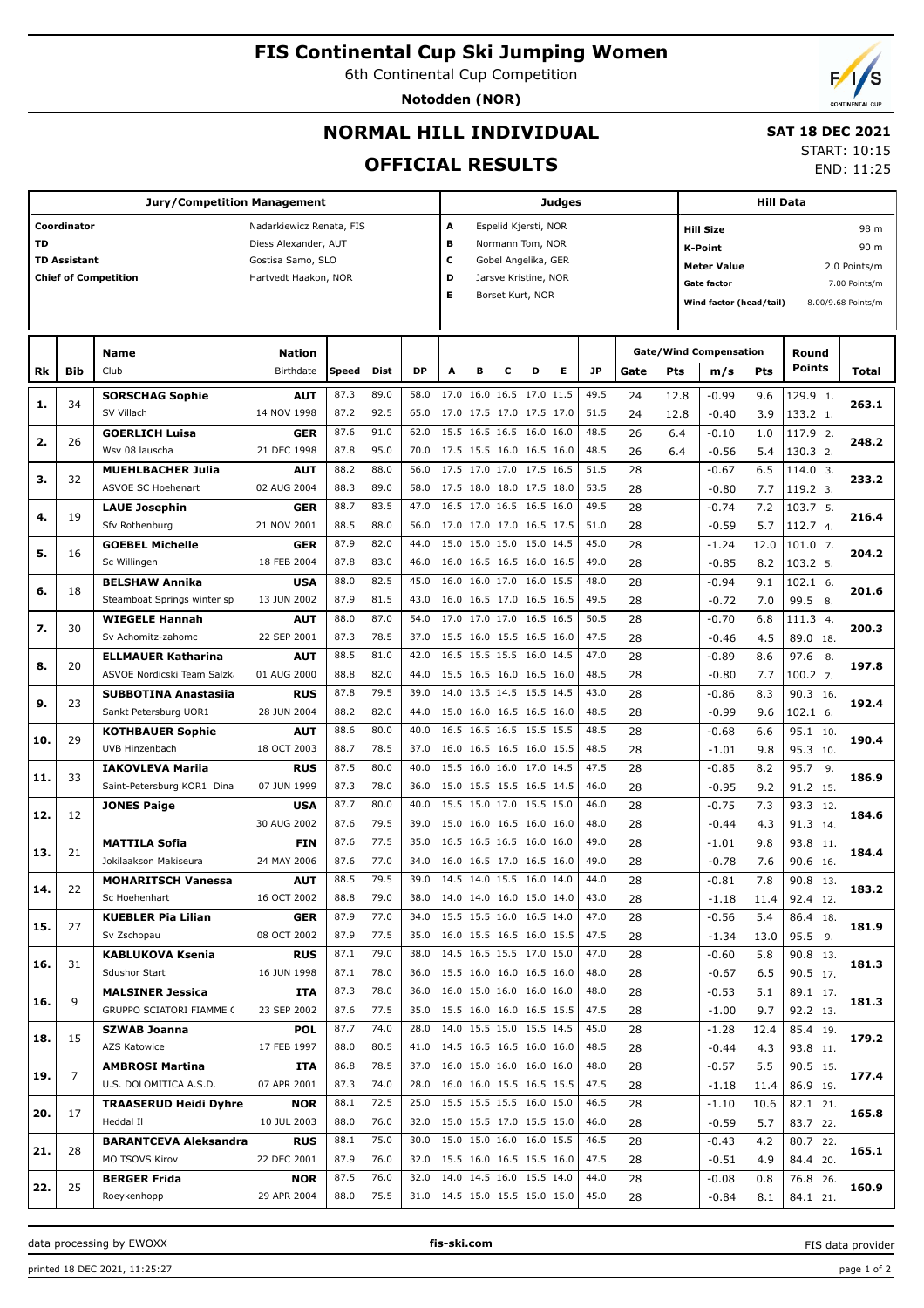# **FIS Continental Cup Ski Jumping Women**

6th Continental Cup Competition

**Notodden (NOR)**

# **NORMAL HILL INDIVIDUAL**

# **SAT 18 DEC 2021**

### **OFFICIAL RESULTS**

START: 10:15 END: 11:25

| <b>Jury/Competition Management</b>      |                     |                              |                           |       |      |           |   |                                               | Judges |                      |   |           |      |      |                               | <b>Hill Data</b> |               |                    |  |  |  |
|-----------------------------------------|---------------------|------------------------------|---------------------------|-------|------|-----------|---|-----------------------------------------------|--------|----------------------|---|-----------|------|------|-------------------------------|------------------|---------------|--------------------|--|--|--|
| Coordinator<br>Nadarkiewicz Renata, FIS |                     |                              |                           |       |      |           |   | Α<br>Espelid Kjersti, NOR<br><b>Hill Size</b> |        |                      |   |           |      |      |                               |                  |               | 98 m               |  |  |  |
| TD                                      |                     |                              | Diess Alexander, AUT      |       |      |           |   | в<br>Normann Tom, NOR                         |        |                      |   |           |      |      | <b>K-Point</b><br>90 m        |                  |               |                    |  |  |  |
|                                         | <b>TD Assistant</b> |                              | Gostisa Samo, SLO         |       |      |           |   | c<br>Gobel Angelika, GER                      |        |                      |   |           |      |      |                               |                  |               |                    |  |  |  |
|                                         |                     | <b>Chief of Competition</b>  | Hartvedt Haakon, NOR      |       |      |           | D |                                               |        | Jarsve Kristine, NOR |   |           |      |      | <b>Meter Value</b>            |                  |               | 2.0 Points/m       |  |  |  |
|                                         |                     |                              |                           |       |      |           | Е |                                               |        | Borset Kurt, NOR     |   |           |      |      | <b>Gate factor</b>            |                  |               | 7.00 Points/m      |  |  |  |
|                                         |                     |                              |                           |       |      |           |   |                                               |        |                      |   |           |      |      | Wind factor (head/tail)       |                  |               | 8.00/9.68 Points/m |  |  |  |
|                                         |                     |                              |                           |       |      |           |   |                                               |        |                      |   |           |      |      |                               |                  |               |                    |  |  |  |
|                                         |                     |                              |                           |       |      |           |   |                                               |        |                      |   |           |      |      |                               |                  |               |                    |  |  |  |
|                                         |                     | Name                         | <b>Nation</b>             |       |      |           |   |                                               |        |                      |   |           |      |      | <b>Gate/Wind Compensation</b> |                  | Round         |                    |  |  |  |
| Rk                                      | <b>Bib</b>          | Club                         | Birthdate                 | Speed | Dist | <b>DP</b> | A | в                                             | с      | D                    | Е | <b>JP</b> | Gate | Pts  | m/s                           | Pts              | <b>Points</b> | Total              |  |  |  |
|                                         |                     | <b>SORSCHAG Sophie</b>       | <b>AUT</b>                | 87.3  | 89.0 | 58.0      |   | 17.0 16.0 16.5 17.0 11.5                      |        |                      |   | 49.5      | 24   | 12.8 | $-0.99$                       | 9.6              | 129.9 1.      |                    |  |  |  |
| 1.                                      | 34                  | SV Villach                   | 14 NOV 1998               | 87.2  | 92.5 | 65.0      |   | 17.0 17.5 17.0 17.5 17.0                      |        |                      |   | 51.5      | 24   | 12.8 | $-0.40$                       | 3.9              | 133.2 1.      | 263.1              |  |  |  |
|                                         |                     | <b>GOERLICH Luisa</b>        |                           | 87.6  | 91.0 | 62.0      |   | 15.5 16.5 16.5 16.0 16.0                      |        |                      |   | 48.5      | 26   |      |                               |                  |               |                    |  |  |  |
| 2.                                      | 26                  |                              | <b>GER</b>                |       |      |           |   |                                               |        |                      |   |           |      | 6.4  | $-0.10$                       | 1.0              | 117.9 2.      | 248.2              |  |  |  |
|                                         |                     | Wsv 08 lauscha               | 21 DEC 1998               | 87.8  | 95.0 | 70.0      |   | 17.5 15.5 16.0 16.5 16.0                      |        |                      |   | 48.5      | 26   | 6.4  | $-0.56$                       | 5.4              | 130.3 2.      |                    |  |  |  |
| з.                                      | 32                  | <b>MUEHLBACHER Julia</b>     | <b>AUT</b>                | 88.2  | 88.0 | 56.0      |   | 17.5 17.0 17.0 17.5 16.5                      |        |                      |   | 51.5      | 28   |      | $-0.67$                       | 6.5              | 114.0 3.      | 233.2              |  |  |  |
|                                         |                     | ASVOE SC Hoehenart           | 02 AUG 2004               | 88.3  | 89.0 | 58.0      |   | 17.5 18.0 18.0 17.5 18.0                      |        |                      |   | 53.5      | 28   |      | $-0.80$                       | 7.7              | 119.2 3.      |                    |  |  |  |
| 4.                                      | 19                  | <b>LAUE Josephin</b>         | <b>GER</b>                | 88.7  | 83.5 | 47.0      |   | 16.5 17.0 16.5 16.5 16.0                      |        |                      |   | 49.5      | 28   |      | $-0.74$                       | 7.2              | 103.7 5.      | 216.4              |  |  |  |
|                                         |                     | Sfv Rothenburg               | 21 NOV 2001               | 88.5  | 88.0 | 56.0      |   | 17.0 17.0 17.0 16.5 17.5                      |        |                      |   | 51.0      | 28   |      | $-0.59$                       | 5.7              | 112.7 4.      |                    |  |  |  |
|                                         |                     | <b>GOEBEL Michelle</b>       | <b>GER</b>                | 87.9  | 82.0 | 44.0      |   | 15.0 15.0 15.0 15.0 14.5                      |        |                      |   | 45.0      | 28   |      | $-1.24$                       | 12.0             | 101.0 7.      |                    |  |  |  |
| 5.                                      | 16                  | Sc Willingen                 | 18 FEB 2004               | 87.8  | 83.0 | 46.0      |   | 16.0 16.5 16.5 16.0 16.5                      |        |                      |   | 49.0      | 28   |      | $-0.85$                       | 8.2              | 103.2 5.      | 204.2              |  |  |  |
|                                         |                     | <b>BELSHAW Annika</b>        | <b>USA</b>                | 88.0  | 82.5 | 45.0      |   | 16.0 16.0 17.0 16.0 15.5                      |        |                      |   | 48.0      | 28   |      | $-0.94$                       | 9.1              | 102.1 6.      |                    |  |  |  |
| 6.                                      | 18                  | Steamboat Springs winter sp  | 13 JUN 2002               | 87.9  | 81.5 | 43.0      |   | 16.0 16.5 17.0 16.5 16.5                      |        |                      |   | 49.5      | 28   |      | $-0.72$                       | 7.0              | 99.5 8.       | 201.6              |  |  |  |
|                                         |                     |                              |                           |       | 87.0 | 54.0      |   | 17.0 17.0 17.0 16.5 16.5                      |        |                      |   |           |      |      |                               |                  |               |                    |  |  |  |
| 7.                                      | 30                  | <b>WIEGELE Hannah</b>        | <b>AUT</b>                | 88.0  |      |           |   |                                               |        |                      |   | 50.5      | 28   |      | $-0.70$                       | 6.8              | 111.3 4.      | 200.3              |  |  |  |
| 8.                                      |                     | Sv Achomitz-zahomc           | 22 SEP 2001               | 87.3  | 78.5 | 37.0      |   | 15.5 16.0 15.5 16.5 16.0                      |        |                      |   | 47.5      | 28   |      | $-0.46$                       | 4.5              | 89.0 18.      |                    |  |  |  |
|                                         | 20                  | <b>ELLMAUER Katharina</b>    | <b>AUT</b>                | 88.5  | 81.0 | 42.0      |   | 16.5 15.5 15.5 16.0 14.5                      |        |                      |   | 47.0      | 28   |      | $-0.89$                       | 8.6              | 97.6<br>8.    | 197.8              |  |  |  |
|                                         |                     | ASVOE Nordicski Team Salzk   | 01 AUG 2000               | 88.8  | 82.0 | 44.0      |   | 15.5 16.5 16.0 16.5 16.0                      |        |                      |   | 48.5      | 28   |      | $-0.80$                       | 7.7              | 100.2 7.      |                    |  |  |  |
| 9.                                      | 23                  | <b>SUBBOTINA Anastasiia</b>  | <b>RUS</b>                | 87.8  | 79.5 | 39.0      |   | 14.0 13.5 14.5 15.5 14.5                      |        |                      |   | 43.0      | 28   |      | $-0.86$                       | 8.3              | 90.3 16.      | 192.4              |  |  |  |
|                                         |                     | Sankt Petersburg UOR1        | 28 JUN 2004               | 88.2  | 82.0 | 44.0      |   | 15.0 16.0 16.5 16.5 16.0                      |        |                      |   | 48.5      | 28   |      | $-0.99$                       | 9.6              | 102.1 6.      |                    |  |  |  |
|                                         |                     | <b>KOTHBAUER Sophie</b>      | <b>AUT</b>                | 88.6  | 80.0 | 40.0      |   | 16.5 16.5 16.5 15.5 15.5                      |        |                      |   | 48.5      | 28   |      | $-0.68$                       | 6.6              | 95.1 10.      |                    |  |  |  |
| 10.                                     | 29                  | UVB Hinzenbach               | 18 OCT 2003               | 88.7  | 78.5 | 37.0      |   | 16.0 16.5 16.5 16.0 15.5                      |        |                      |   | 48.5      | 28   |      | $-1.01$                       | 9.8              | 95.3 10.      | 190.4              |  |  |  |
|                                         |                     | <b>IAKOVLEVA Mariia</b>      | <b>RUS</b>                | 87.5  | 80.0 | 40.0      |   | 15.5 16.0 16.0 17.0 14.5                      |        |                      |   | 47.5      | 28   |      | $-0.85$                       | 8.2              | 95.7<br>9.    |                    |  |  |  |
| 11.                                     | 33                  | Saint-Petersburg KOR1 Dina   | 07 JUN 1999               | 87.3  | 78.0 | 36.0      |   | 15.0 15.5 15.5 16.5 14.5                      |        |                      |   | 46.0      | 28   |      | $-0.95$                       | 9.2              | 91.2 15.      | 186.9              |  |  |  |
|                                         |                     | <b>JONES Paige</b>           | <b>USA</b>                | 87.7  | 80.0 | 40.0      |   | 15.5 15.0 17.0 15.5 15.0                      |        |                      |   | 46.0      | 28   |      | $-0.75$                       | 7.3              | 93.3<br>12.   |                    |  |  |  |
| 12.                                     | 12                  |                              | 30 AUG 2002               | 87.6  | 79.5 | 39.0      |   | 15.0 16.0 16.5 16.0 16.0                      |        |                      |   | 48.0      | 28   |      | $-0.44$                       | 4.3              | 91.3 14.      | 184.6              |  |  |  |
|                                         |                     | <b>MATTILA Sofia</b>         |                           | 87.6  | 77.5 | 35.0      |   | 16.5 16.5 16.5 16.0 16.0                      |        |                      |   | 49.0      |      |      |                               |                  |               |                    |  |  |  |
| 13.                                     | 21                  |                              | <b>FIN</b><br>24 MAY 2006 |       |      |           |   |                                               |        |                      |   |           | 28   |      | $-1.01$                       | 9.8              | 93.8<br>11.   | 184.4              |  |  |  |
|                                         |                     | Jokilaakson Makiseura        |                           | 87.6  | 77.0 | 34.0      |   | 16.0 16.5 17.0 16.5 16.0                      |        |                      |   | 49.0      | 28   |      | $-0.78$                       | 7.6              | 90.6 16.      |                    |  |  |  |
| 14.                                     | 22                  | <b>MOHARITSCH Vanessa</b>    | AUT                       | 88.5  | 79.5 | 39.0      |   | 14.5 14.0 15.5 16.0 14.0                      |        |                      |   | 44.0      | 28   |      | $-0.81$                       | 7.8              | 90.8<br>13.   | 183.2              |  |  |  |
|                                         |                     | Sc Hoehenhart                | 16 OCT 2002               | 88.8  | 79.0 | 38.0      |   | 14.0 14.0 16.0 15.0 14.0                      |        |                      |   | 43.0      | 28   |      | $-1.18$                       | 11.4             | 92.4 12.      |                    |  |  |  |
| 15.                                     | 27                  | <b>KUEBLER Pia Lilian</b>    | <b>GER</b>                | 87.9  | 77.0 | 34.0      |   | 15.5 15.5 16.0 16.5 14.0                      |        |                      |   | 47.0      | 28   |      | $-0.56$                       | 5.4              | 86.4 18.      | 181.9              |  |  |  |
|                                         |                     | Sv Zschopau                  | 08 OCT 2002               | 87.9  | 77.5 | 35.0      |   | 16.0 15.5 16.5 16.0 15.5                      |        |                      |   | 47.5      | 28   |      | $-1.34$                       | 13.0             | $95.5$ 9.     |                    |  |  |  |
| 16.                                     | 31                  | KABLUKOVA Ksenia             | <b>RUS</b>                | 87.1  | 79.0 | 38.0      |   | 14.5 16.5 15.5 17.0 15.0                      |        |                      |   | 47.0      | 28   |      | $-0.60$                       | 5.8              | 90.8 13.      | 181.3              |  |  |  |
|                                         |                     | Sdushor Start                | 16 JUN 1998               | 87.1  | 78.0 | 36.0      |   | 15.5 16.0 16.0 16.5 16.0                      |        |                      |   | 48.0      | 28   |      | $-0.67$                       | 6.5              | 90.5 17.      |                    |  |  |  |
|                                         |                     | <b>MALSINER Jessica</b>      | ITA                       | 87.3  | 78.0 | 36.0      |   | 16.0 15.0 16.0 16.0 16.0                      |        |                      |   | 48.0      | 28   |      | $-0.53$                       | 5.1              | 89.1 17.      |                    |  |  |  |
| 16.                                     | 9                   | GRUPPO SCIATORI FIAMME (     | 23 SEP 2002               | 87.6  | 77.5 | 35.0      |   | 15.5 16.0 16.0 16.5 15.5                      |        |                      |   | 47.5      | 28   |      | $-1.00$                       | 9.7              | 92.2 13.      | 181.3              |  |  |  |
|                                         |                     | SZWAB Joanna                 | <b>POL</b>                | 87.7  | 74.0 | 28.0      |   | 14.0 15.5 15.0 15.5 14.5                      |        |                      |   | 45.0      | 28   |      | $-1.28$                       | 12.4             | 85.4 19.      |                    |  |  |  |
| 18.                                     | 15                  | AZS Katowice                 | 17 FEB 1997               | 88.0  | 80.5 | 41.0      |   | 14.5 16.5 16.5 16.0 16.0                      |        |                      |   | 48.5      | 28   |      | $-0.44$                       | 4.3              | 93.8 11.      | 179.2              |  |  |  |
|                                         |                     | <b>AMBROSI Martina</b>       | ITA                       | 86.8  | 78.5 | 37.0      |   | 16.0 15.0 16.0 16.0 16.0                      |        |                      |   | 48.0      | 28   |      | $-0.57$                       | 5.5              | 90.5 15.      |                    |  |  |  |
| 19.                                     | 7                   |                              |                           |       |      |           |   |                                               |        |                      |   |           |      |      |                               |                  |               | 177.4              |  |  |  |
|                                         |                     | U.S. DOLOMITICA A.S.D.       | 07 APR 2001               | 87.3  | 74.0 | 28.0      |   | 16.0 16.0 15.5 16.5 15.5                      |        |                      |   | 47.5      | 28   |      | $-1.18$                       | 11.4             | 86.9 19.      |                    |  |  |  |
| 20.                                     | 17                  | <b>TRAASERUD Heidi Dyhre</b> | <b>NOR</b>                | 88.1  | 72.5 | 25.0      |   | 15.5 15.5 15.5 16.0 15.0                      |        |                      |   | 46.5      | 28   |      | $-1.10$                       | 10.6             | 82.1 21.      | 165.8              |  |  |  |
|                                         |                     | Heddal II                    | 10 JUL 2003               | 88.0  | 76.0 | 32.0      |   | 15.0 15.5 17.0 15.5 15.0                      |        |                      |   | 46.0      | 28   |      | $-0.59$                       | 5.7              | 83.7 22.      |                    |  |  |  |
| 21.                                     | 28                  | <b>BARANTCEVA Aleksandra</b> | <b>RUS</b>                | 88.1  | 75.0 | 30.0      |   | 15.0 15.0 16.0 16.0 15.5                      |        |                      |   | 46.5      | 28   |      | $-0.43$                       | 4.2              | 80.7 22.      | 165.1              |  |  |  |
|                                         |                     | MO TSOVS Kirov               | 22 DEC 2001               | 87.9  | 76.0 | 32.0      |   | 15.5 16.0 16.5 15.5 16.0                      |        |                      |   | 47.5      | 28   |      | $-0.51$                       | 4.9              | 84.4 20.      |                    |  |  |  |
| 22.                                     | 25                  | <b>BERGER Frida</b>          | <b>NOR</b>                | 87.5  | 76.0 | 32.0      |   | 14.0 14.5 16.0 15.5 14.0                      |        |                      |   | 44.0      | 28   |      | $-0.08$                       | 0.8              | 76.8 26.      | 160.9              |  |  |  |
|                                         |                     | Roeykenhopp                  | 29 APR 2004               | 88.0  | 75.5 |           |   | 31.0   14.5 15.0 15.5 15.0 15.0               |        |                      |   | 45.0      | 28   |      | $-0.84$                       | 8.1              | 84.1 21.      |                    |  |  |  |

data processing by EWOXX **fis-ski.com**

FIS data provider